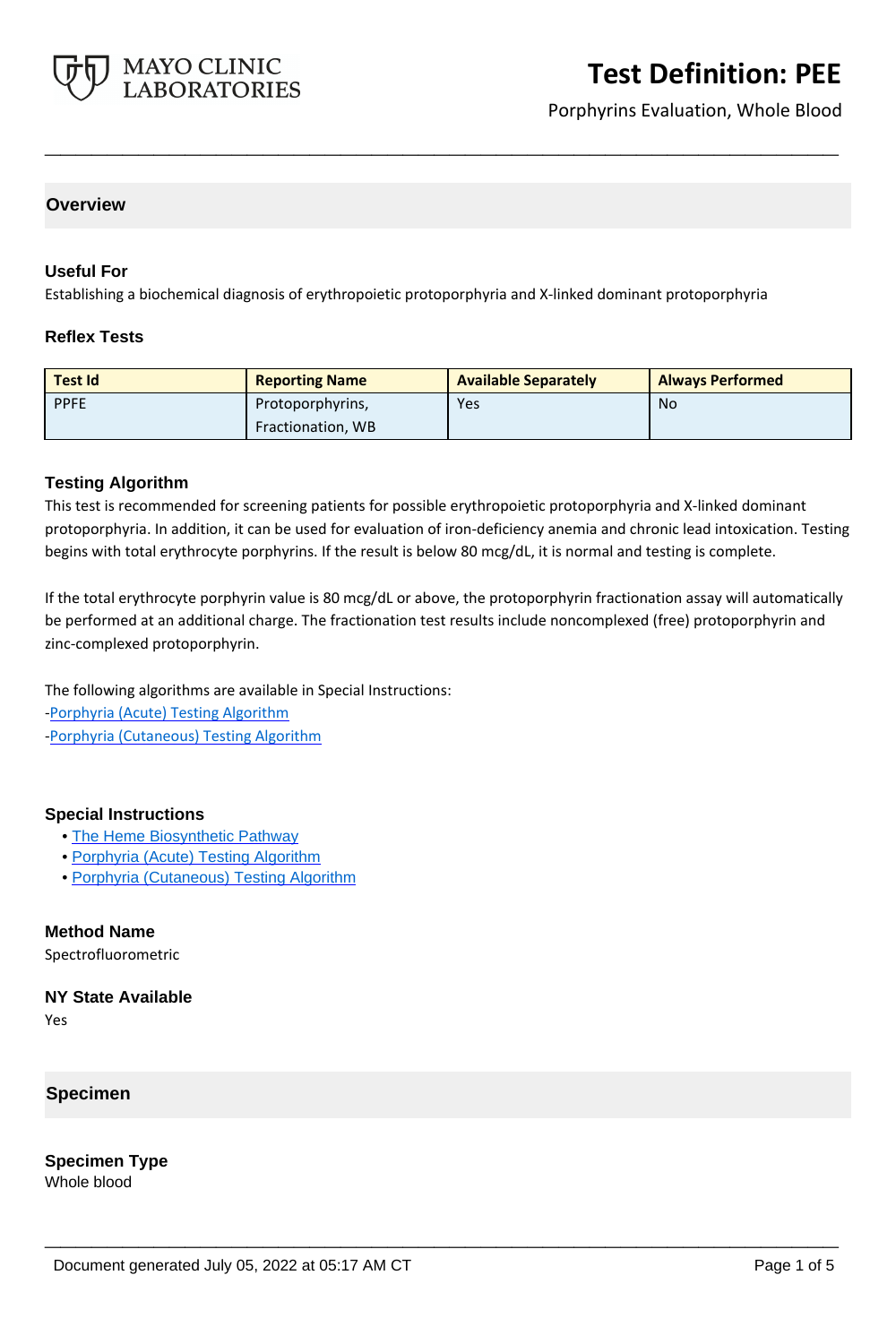

# **Test Definition: PEE**

Porphyrins Evaluation, Whole Blood

### **Overview**

### **Useful For**

Establishing a biochemical diagnosis of erythropoietic protoporphyria and X-linked dominant protoporphyria

### **Reflex Tests**

| <b>Test Id</b> | <b>Reporting Name</b> | <b>Available Separately</b> | <b>Always Performed</b> |
|----------------|-----------------------|-----------------------------|-------------------------|
| <b>PPFE</b>    | Protoporphyrins,      | Yes                         | No                      |
|                | Fractionation, WB     |                             |                         |

**\_\_\_\_\_\_\_\_\_\_\_\_\_\_\_\_\_\_\_\_\_\_\_\_\_\_\_\_\_\_\_\_\_\_\_\_\_\_\_\_\_\_\_\_\_\_\_\_\_\_\_**

### **Testing Algorithm**

This test is recommended for screening patients for possible erythropoietic protoporphyria and X-linked dominant protoporphyria. In addition, it can be used for evaluation of iron-deficiency anemia and chronic lead intoxication. Testing begins with total erythrocyte porphyrins. If the result is below 80 mcg/dL, it is normal and testing is complete.

If the total erythrocyte porphyrin value is 80 mcg/dL or above, the protoporphyrin fractionation assay will automatically be performed at an additional charge. The fractionation test results include noncomplexed (free) protoporphyrin and zinc-complexed protoporphyrin.

**\_\_\_\_\_\_\_\_\_\_\_\_\_\_\_\_\_\_\_\_\_\_\_\_\_\_\_\_\_\_\_\_\_\_\_\_\_\_\_\_\_\_\_\_\_\_\_\_\_\_\_**

The following algorithms are available in Special Instructions:

[-Porphyria \(Acute\) Testing Algorithm](http://www.mayocliniclabs.com/it-mmfiles/Porphyria__Acute__Testing_Algorithm.pdf)

[-Porphyria \(Cutaneous\) Testing Algorithm](http://www.mayocliniclabs.com/it-mmfiles/Porphyria__Cutaneous__Testing_Algorithm.pdf)

#### **Special Instructions**

- • [The Heme Biosynthetic Pathway](http://www.mayocliniclabs.com/it-mmfiles/The_Heme_Biosynthetic_Pathway.pdf)
- • [Porphyria \(Acute\) Testing Algorithm](http://www.mayocliniclabs.com/it-mmfiles/Porphyria__Acute__Testing_Algorithm.pdf)
- • [Porphyria \(Cutaneous\) Testing Algorithm](http://www.mayocliniclabs.com/it-mmfiles/Porphyria__Cutaneous__Testing_Algorithm.pdf)

### **Method Name**

Spectrofluorometric

### **NY State Available**

Yes

### **Specimen**

**Specimen Type** Whole blood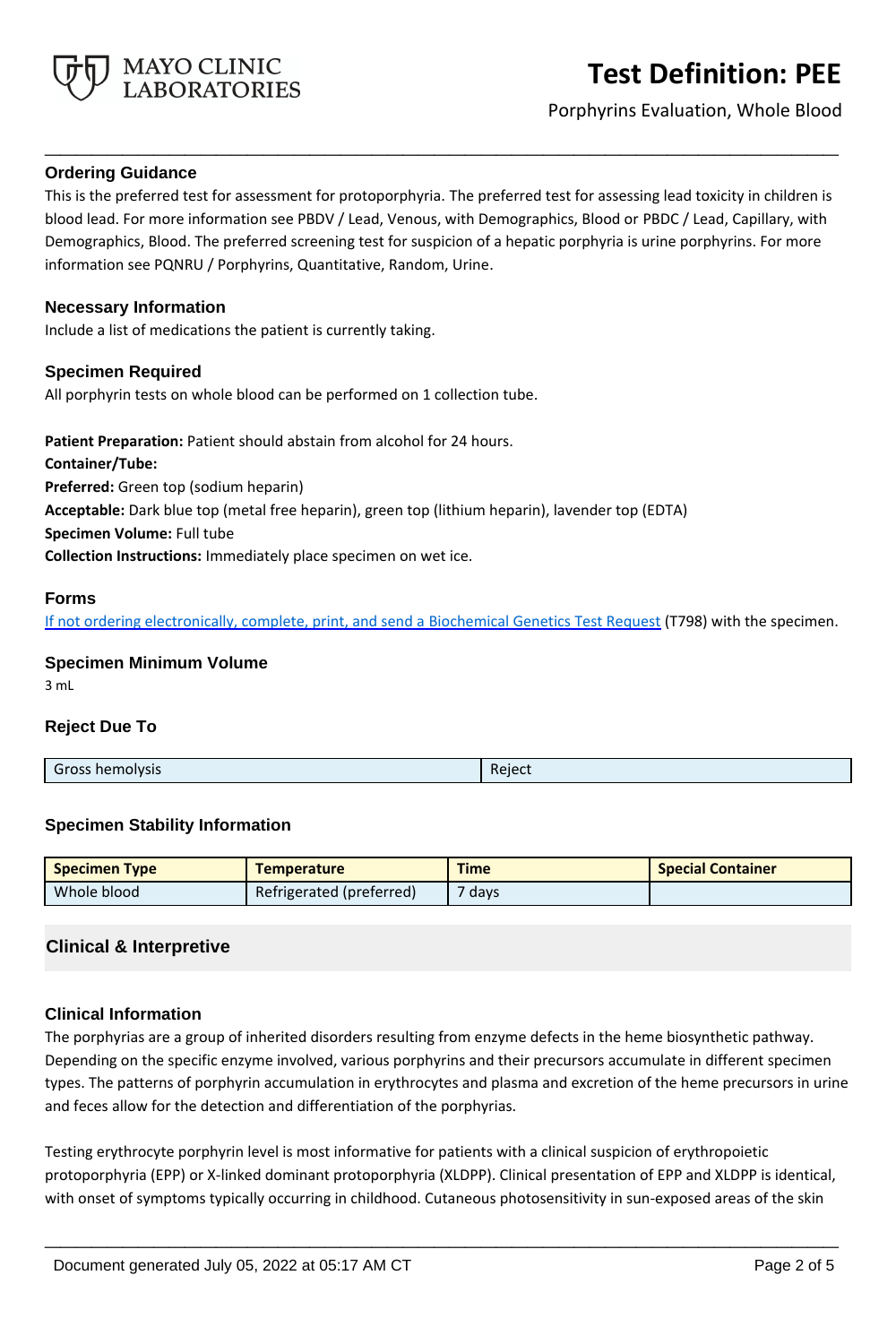

Porphyrins Evaluation, Whole Blood

### **Ordering Guidance**

This is the preferred test for assessment for protoporphyria. The preferred test for assessing lead toxicity in children is blood lead. For more information see PBDV / Lead, Venous, with Demographics, Blood or PBDC / Lead, Capillary, with Demographics, Blood. The preferred screening test for suspicion of a hepatic porphyria is urine porphyrins. For more information see PQNRU / Porphyrins, Quantitative, Random, Urine.

**\_\_\_\_\_\_\_\_\_\_\_\_\_\_\_\_\_\_\_\_\_\_\_\_\_\_\_\_\_\_\_\_\_\_\_\_\_\_\_\_\_\_\_\_\_\_\_\_\_\_\_**

### **Necessary Information**

Include a list of medications the patient is currently taking.

### **Specimen Required**

All porphyrin tests on whole blood can be performed on 1 collection tube.

**Patient Preparation:** Patient should abstain from alcohol for 24 hours. **Container/Tube: Preferred:** Green top (sodium heparin) **Acceptable:** Dark blue top (metal free heparin), green top (lithium heparin), lavender top (EDTA) **Specimen Volume:** Full tube **Collection Instructions:** Immediately place specimen on wet ice.

### **Forms**

If not ordering electronically, complete, print, and send a [Biochemical Genetics Test Request](https://www.mayocliniclabs.com/it-mmfiles/iem-request-form.pdf) (T798) with the specimen.

# **Specimen Minimum Volume**

3 mL

### **Reject Due To**

| <b>Gross hemolysis</b> | Reject |
|------------------------|--------|
|                        |        |

### **Specimen Stability Information**

| <b>Specimen Type</b> | <b>Temperature</b>       | <b>Time</b>       | <b>Special Container</b> |
|----------------------|--------------------------|-------------------|--------------------------|
| Whole blood          | Refrigerated (preferred) | <sup>7</sup> days |                          |

# **Clinical & Interpretive**

### **Clinical Information**

The porphyrias are a group of inherited disorders resulting from enzyme defects in the heme biosynthetic pathway. Depending on the specific enzyme involved, various porphyrins and their precursors accumulate in different specimen types. The patterns of porphyrin accumulation in erythrocytes and plasma and excretion of the heme precursors in urine and feces allow for the detection and differentiation of the porphyrias.

Testing erythrocyte porphyrin level is most informative for patients with a clinical suspicion of erythropoietic protoporphyria (EPP) or X-linked dominant protoporphyria (XLDPP). Clinical presentation of EPP and XLDPP is identical, with onset of symptoms typically occurring in childhood. Cutaneous photosensitivity in sun-exposed areas of the skin

**\_\_\_\_\_\_\_\_\_\_\_\_\_\_\_\_\_\_\_\_\_\_\_\_\_\_\_\_\_\_\_\_\_\_\_\_\_\_\_\_\_\_\_\_\_\_\_\_\_\_\_**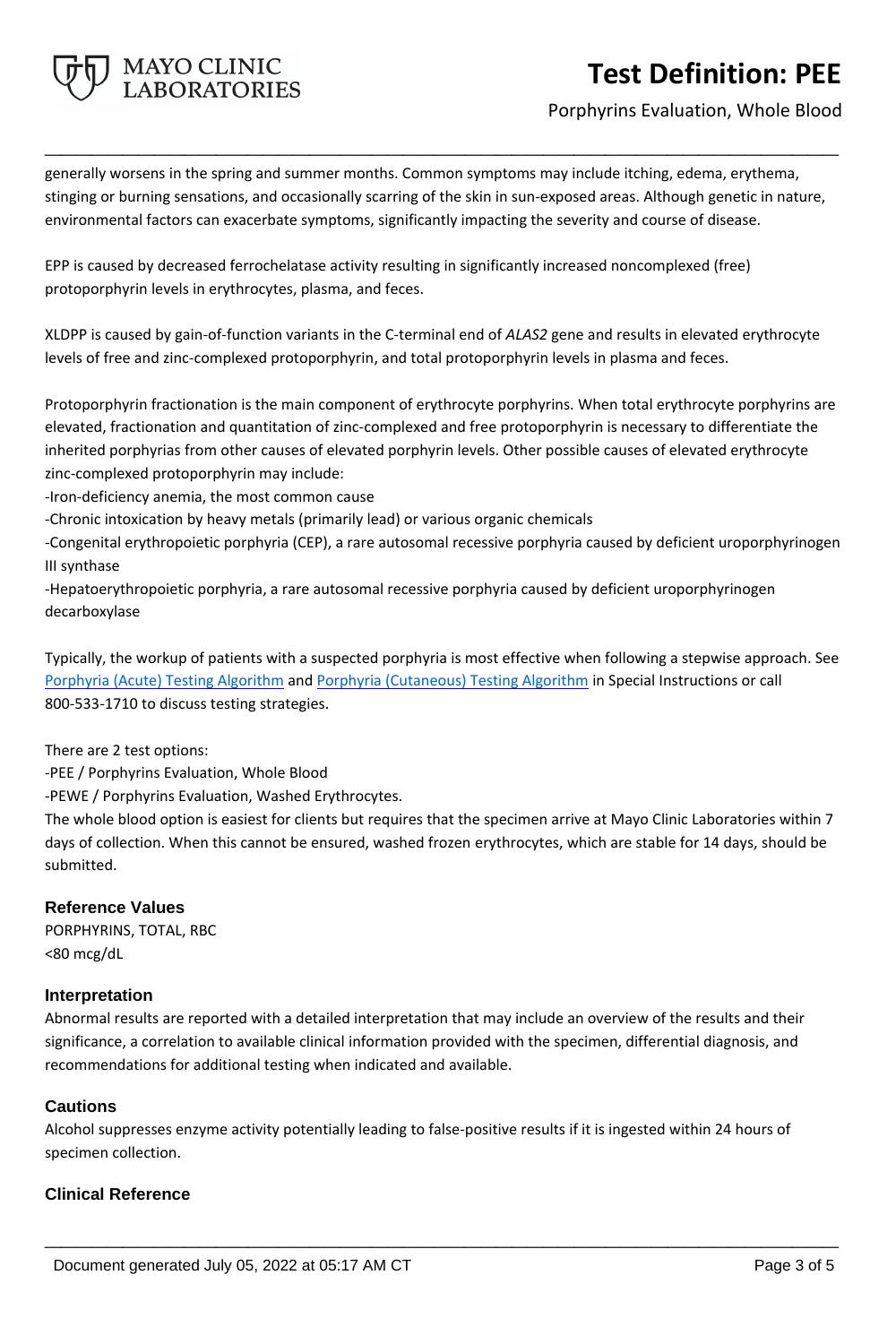# **MAYO CLINIC<br>LABORATORIES**

# **Test Definition: PEE**

# Porphyrins Evaluation, Whole Blood

generally worsens in the spring and summer months. Common symptoms may include itching, edema, erythema, stinging or burning sensations, and occasionally scarring of the skin in sun-exposed areas. Although genetic in nature, environmental factors can exacerbate symptoms, significantly impacting the severity and course of disease.

**\_\_\_\_\_\_\_\_\_\_\_\_\_\_\_\_\_\_\_\_\_\_\_\_\_\_\_\_\_\_\_\_\_\_\_\_\_\_\_\_\_\_\_\_\_\_\_\_\_\_\_**

EPP is caused by decreased ferrochelatase activity resulting in significantly increased noncomplexed (free) protoporphyrin levels in erythrocytes, plasma, and feces.

XLDPP is caused by gain-of-function variants in the C-terminal end of *ALAS2* gene and results in elevated erythrocyte levels of free and zinc-complexed protoporphyrin, and total protoporphyrin levels in plasma and feces.

Protoporphyrin fractionation is the main component of erythrocyte porphyrins. When total erythrocyte porphyrins are elevated, fractionation and quantitation of zinc-complexed and free protoporphyrin is necessary to differentiate the inherited porphyrias from other causes of elevated porphyrin levels. Other possible causes of elevated erythrocyte zinc-complexed protoporphyrin may include:

-Iron-deficiency anemia, the most common cause

-Chronic intoxication by heavy metals (primarily lead) or various organic chemicals

-Congenital erythropoietic porphyria (CEP), a rare autosomal recessive porphyria caused by deficient uroporphyrinogen III synthase

-Hepatoerythropoietic porphyria, a rare autosomal recessive porphyria caused by deficient uroporphyrinogen decarboxylase

Typically, the workup of patients with a suspected porphyria is most effective when following a stepwise approach. See [Porphyria \(Acute\) Testing Algorithm](http://www.mayocliniclabs.com/it-mmfiles/Porphyria__Acute__Testing_Algorithm.pdf) and [Porphyria \(Cutaneous\) Testing Algorithm](http://www.mayocliniclabs.com/it-mmfiles/Porphyria__Cutaneous__Testing_Algorithm.pdf) in Special Instructions or call 800-533-1710 to discuss testing strategies.

There are 2 test options:

-PEE / Porphyrins Evaluation, Whole Blood

-PEWE / Porphyrins Evaluation, Washed Erythrocytes.

The whole blood option is easiest for clients but requires that the specimen arrive at Mayo Clinic Laboratories within 7 days of collection. When this cannot be ensured, washed frozen erythrocytes, which are stable for 14 days, should be submitted.

# **Reference Values**

PORPHYRINS, TOTAL, RBC <80 mcg/dL

### **Interpretation**

Abnormal results are reported with a detailed interpretation that may include an overview of the results and their significance, a correlation to available clinical information provided with the specimen, differential diagnosis, and recommendations for additional testing when indicated and available.

# **Cautions**

Alcohol suppresses enzyme activity potentially leading to false-positive results if it is ingested within 24 hours of specimen collection.

**\_\_\_\_\_\_\_\_\_\_\_\_\_\_\_\_\_\_\_\_\_\_\_\_\_\_\_\_\_\_\_\_\_\_\_\_\_\_\_\_\_\_\_\_\_\_\_\_\_\_\_**

### **Clinical Reference**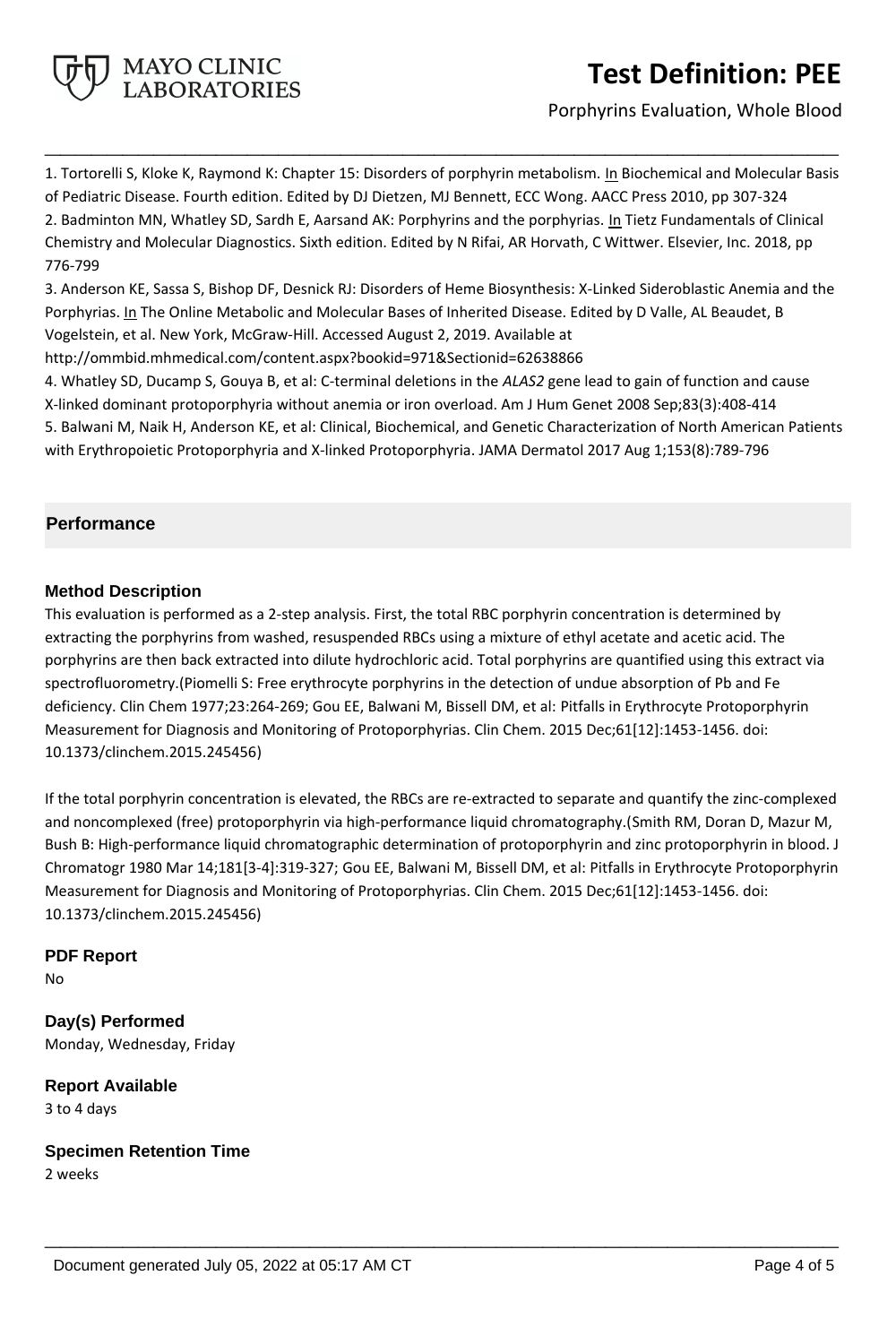

# **Test Definition: PEE**

Porphyrins Evaluation, Whole Blood

1. Tortorelli S, Kloke K, Raymond K: Chapter 15: Disorders of porphyrin metabolism. In Biochemical and Molecular Basis of Pediatric Disease. Fourth edition. Edited by DJ Dietzen, MJ Bennett, ECC Wong. AACC Press 2010, pp 307-324 2. Badminton MN, Whatley SD, Sardh E, Aarsand AK: Porphyrins and the porphyrias. In Tietz Fundamentals of Clinical Chemistry and Molecular Diagnostics. Sixth edition. Edited by N Rifai, AR Horvath, C Wittwer. Elsevier, Inc. 2018, pp 776-799

**\_\_\_\_\_\_\_\_\_\_\_\_\_\_\_\_\_\_\_\_\_\_\_\_\_\_\_\_\_\_\_\_\_\_\_\_\_\_\_\_\_\_\_\_\_\_\_\_\_\_\_**

3. Anderson KE, Sassa S, Bishop DF, Desnick RJ: Disorders of Heme Biosynthesis: X-Linked Sideroblastic Anemia and the Porphyrias. In The Online Metabolic and Molecular Bases of Inherited Disease. Edited by D Valle, AL Beaudet, B Vogelstein, et al. New York, McGraw-Hill. Accessed August 2, 2019. Available at

http://ommbid.mhmedical.com/content.aspx?bookid=971&Sectionid=62638866

4. Whatley SD, Ducamp S, Gouya B, et al: C-terminal deletions in the *ALAS2* gene lead to gain of function and cause X-linked dominant protoporphyria without anemia or iron overload. Am J Hum Genet 2008 Sep;83(3):408-414 5. Balwani M, Naik H, Anderson KE, et al: Clinical, Biochemical, and Genetic Characterization of North American Patients with Erythropoietic Protoporphyria and X-linked Protoporphyria. JAMA Dermatol 2017 Aug 1;153(8):789-796

# **Performance**

### **Method Description**

This evaluation is performed as a 2-step analysis. First, the total RBC porphyrin concentration is determined by extracting the porphyrins from washed, resuspended RBCs using a mixture of ethyl acetate and acetic acid. The porphyrins are then back extracted into dilute hydrochloric acid. Total porphyrins are quantified using this extract via spectrofluorometry.(Piomelli S: Free erythrocyte porphyrins in the detection of undue absorption of Pb and Fe deficiency. Clin Chem 1977;23:264-269; Gou EE, Balwani M, Bissell DM, et al: Pitfalls in Erythrocyte Protoporphyrin Measurement for Diagnosis and Monitoring of Protoporphyrias. Clin Chem. 2015 Dec;61[12]:1453-1456. doi: 10.1373/clinchem.2015.245456)

If the total porphyrin concentration is elevated, the RBCs are re-extracted to separate and quantify the zinc-complexed and noncomplexed (free) protoporphyrin via high-performance liquid chromatography.(Smith RM, Doran D, Mazur M, Bush B: High-performance liquid chromatographic determination of protoporphyrin and zinc protoporphyrin in blood. J Chromatogr 1980 Mar 14;181[3-4]:319-327; Gou EE, Balwani M, Bissell DM, et al: Pitfalls in Erythrocyte Protoporphyrin Measurement for Diagnosis and Monitoring of Protoporphyrias. Clin Chem. 2015 Dec;61[12]:1453-1456. doi: 10.1373/clinchem.2015.245456)

**\_\_\_\_\_\_\_\_\_\_\_\_\_\_\_\_\_\_\_\_\_\_\_\_\_\_\_\_\_\_\_\_\_\_\_\_\_\_\_\_\_\_\_\_\_\_\_\_\_\_\_**

# **PDF Report**

No

**Day(s) Performed** Monday, Wednesday, Friday

**Report Available** 3 to 4 days

**Specimen Retention Time** 2 weeks